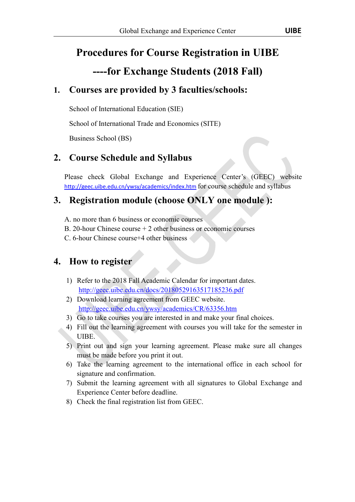## **Procedures for Course Registration in UIBE**

### **----for Exchange Students (2018 Fall)**

#### **1. Courses are provided by 3 faculties/schools:**

School of International Education (SIE)

School of International Trade and Economics (SITE)

Business School (BS)

#### **2. Course Schedule and Syllabus**

Please check Global Exchange and Experience Center's (GEEC) website http://geec.uibe.edu.cn/ywsy/academics/index.htm for course schedule and syllabus

#### **3. Registration module (choose ONLY one module ):**

- A. no more than 6 business or economic courses
- B. 20-hour Chinese course  $+ 2$  other business or economic courses
- C. 6-hour Chinese course+4 other business

#### **4. How to register**

- 1) Refer to the 2018 Fall Academic Calendar for important dates. http://geec.uibe.edu.cn/docs/20180529163517185236.pdf
- 2) Download learning agreement from GEEC website. http://geec.uibe.edu.cn/ywsy/academics/CR/63356.htm
- 3) Go to take courses you are interested in and make your final choices.
- 4) Fill out the learning agreement with courses you will take for the semester in UIBE.
- 5) Print out and sign your learning agreement. Please make sure all changes
- must be made before you print it out.<br>6) Take the learning agreement to the international office in each school for signature and confirmation.
- 7) Submit the learning agreement with all signatures to Global Exchange and Experience Center before deadline.
- 8) Check the final registration list from GEEC.